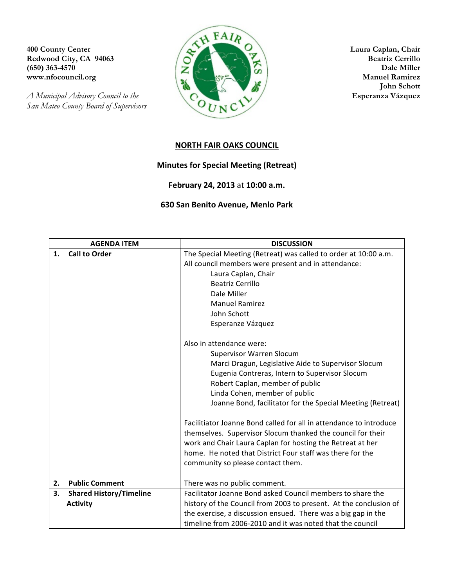*San Mateo County Board of Supervisors*



**John Schott**

## **NORTH FAIR OAKS COUNCIL**

## **Minutes for Special Meeting (Retreat)**

## **February 24, 2013** at **10:00 a.m.**

## **630 San Benito Avenue, Menlo Park**

| <b>AGENDA ITEM</b>                   | <b>DISCUSSION</b>                                                  |
|--------------------------------------|--------------------------------------------------------------------|
| <b>Call to Order</b><br>1.           | The Special Meeting (Retreat) was called to order at 10:00 a.m.    |
|                                      | All council members were present and in attendance:                |
|                                      | Laura Caplan, Chair                                                |
|                                      | <b>Beatriz Cerrillo</b>                                            |
|                                      | Dale Miller                                                        |
|                                      | <b>Manuel Ramirez</b>                                              |
|                                      | John Schott                                                        |
|                                      | Esperanze Vázquez                                                  |
|                                      |                                                                    |
|                                      | Also in attendance were:                                           |
|                                      | Supervisor Warren Slocum                                           |
|                                      | Marci Dragun, Legislative Aide to Supervisor Slocum                |
|                                      | Eugenia Contreras, Intern to Supervisor Slocum                     |
|                                      | Robert Caplan, member of public                                    |
|                                      | Linda Cohen, member of public                                      |
|                                      | Joanne Bond, facilitator for the Special Meeting (Retreat)         |
|                                      | Facilitiator Joanne Bond called for all in attendance to introduce |
|                                      | themselves. Supervisor Slocum thanked the council for their        |
|                                      | work and Chair Laura Caplan for hosting the Retreat at her         |
|                                      | home. He noted that District Four staff was there for the          |
|                                      | community so please contact them.                                  |
|                                      |                                                                    |
| <b>Public Comment</b><br>2.          | There was no public comment.                                       |
| 3.<br><b>Shared History/Timeline</b> | Facilitator Joanne Bond asked Council members to share the         |
| <b>Activity</b>                      | history of the Council from 2003 to present. At the conclusion of  |
|                                      | the exercise, a discussion ensued. There was a big gap in the      |
|                                      | timeline from 2006-2010 and it was noted that the council          |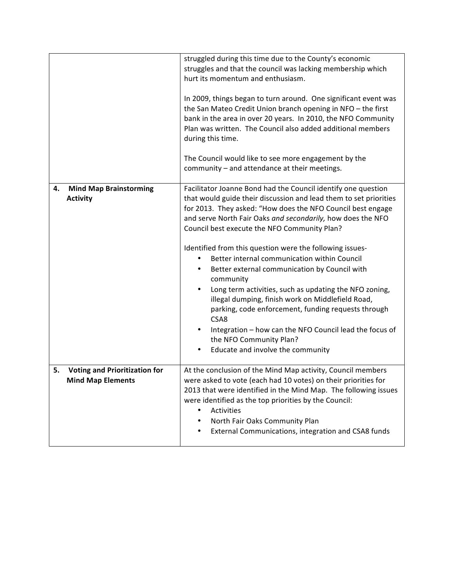|    |                                                                  | struggled during this time due to the County's economic<br>struggles and that the council was lacking membership which<br>hurt its momentum and enthusiasm.<br>In 2009, things began to turn around. One significant event was<br>the San Mateo Credit Union branch opening in NFO - the first<br>bank in the area in over 20 years. In 2010, the NFO Community<br>Plan was written. The Council also added additional members<br>during this time.<br>The Council would like to see more engagement by the<br>community - and attendance at their meetings.                                                                                                                                                                                                                                             |
|----|------------------------------------------------------------------|----------------------------------------------------------------------------------------------------------------------------------------------------------------------------------------------------------------------------------------------------------------------------------------------------------------------------------------------------------------------------------------------------------------------------------------------------------------------------------------------------------------------------------------------------------------------------------------------------------------------------------------------------------------------------------------------------------------------------------------------------------------------------------------------------------|
| 4. | <b>Mind Map Brainstorming</b><br><b>Activity</b>                 | Facilitator Joanne Bond had the Council identify one question<br>that would guide their discussion and lead them to set priorities<br>for 2013. They asked: "How does the NFO Council best engage<br>and serve North Fair Oaks and secondarily, how does the NFO<br>Council best execute the NFO Community Plan?<br>Identified from this question were the following issues-<br>Better internal communication within Council<br>Better external communication by Council with<br>٠<br>community<br>Long term activities, such as updating the NFO zoning,<br>illegal dumping, finish work on Middlefield Road,<br>parking, code enforcement, funding requests through<br>CSA8<br>Integration - how can the NFO Council lead the focus of<br>the NFO Community Plan?<br>Educate and involve the community |
| 5. | <b>Voting and Prioritization for</b><br><b>Mind Map Elements</b> | At the conclusion of the Mind Map activity, Council members<br>were asked to vote (each had 10 votes) on their priorities for<br>2013 that were identified in the Mind Map. The following issues<br>were identified as the top priorities by the Council:<br>Activities<br>North Fair Oaks Community Plan<br>٠<br>External Communications, integration and CSA8 funds                                                                                                                                                                                                                                                                                                                                                                                                                                    |